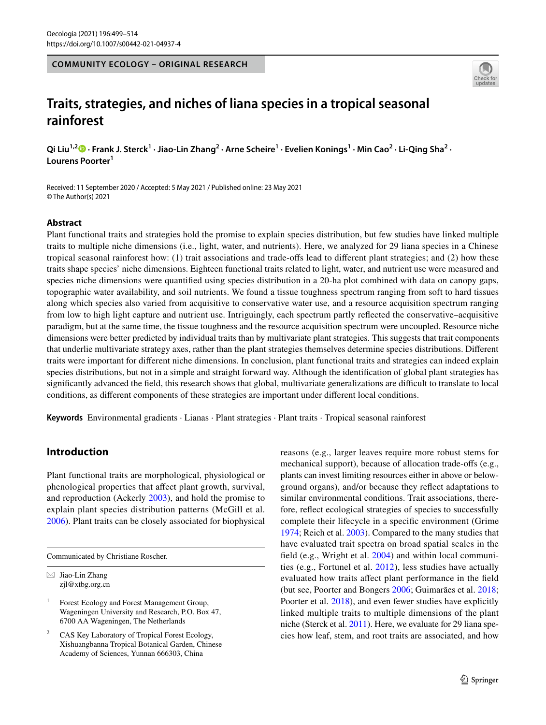**COMMUNITY ECOLOGY – ORIGINAL RESEARCH**



# **Traits, strategies, and niches of liana species in a tropical seasonal rainforest**

Qi Liu<sup>1,2</sup> D [·](http://orcid.org/0000-0003-3962-0867) Frank J. Sterck<sup>1</sup> · Jiao-Lin Zhang<sup>2</sup> · Arne Scheire<sup>1</sup> · Evelien Konings<sup>1</sup> · Min Cao<sup>2</sup> · Li-Qing Sha<sup>2</sup> · **Lourens Poorter1**

Received: 11 September 2020 / Accepted: 5 May 2021 / Published online: 23 May 2021 © The Author(s) 2021

# **Abstract**

Plant functional traits and strategies hold the promise to explain species distribution, but few studies have linked multiple traits to multiple niche dimensions (i.e., light, water, and nutrients). Here, we analyzed for 29 liana species in a Chinese tropical seasonal rainforest how: (1) trait associations and trade-ofs lead to diferent plant strategies; and (2) how these traits shape species' niche dimensions. Eighteen functional traits related to light, water, and nutrient use were measured and species niche dimensions were quantifed using species distribution in a 20-ha plot combined with data on canopy gaps, topographic water availability, and soil nutrients. We found a tissue toughness spectrum ranging from soft to hard tissues along which species also varied from acquisitive to conservative water use, and a resource acquisition spectrum ranging from low to high light capture and nutrient use. Intriguingly, each spectrum partly refected the conservative–acquisitive paradigm, but at the same time, the tissue toughness and the resource acquisition spectrum were uncoupled. Resource niche dimensions were better predicted by individual traits than by multivariate plant strategies. This suggests that trait components that underlie multivariate strategy axes, rather than the plant strategies themselves determine species distributions. Diferent traits were important for diferent niche dimensions. In conclusion, plant functional traits and strategies can indeed explain species distributions, but not in a simple and straight forward way. Although the identifcation of global plant strategies has significantly advanced the field, this research shows that global, multivariate generalizations are difficult to translate to local conditions, as diferent components of these strategies are important under diferent local conditions.

**Keywords** Environmental gradients · Lianas · Plant strategies · Plant traits · Tropical seasonal rainforest

# **Introduction**

Plant functional traits are morphological, physiological or phenological properties that afect plant growth, survival, and reproduction (Ackerly [2003\)](#page-13-0), and hold the promise to explain plant species distribution patterns (McGill et al. [2006](#page-14-0)). Plant traits can be closely associated for biophysical

Communicated by Christiane Roscher.

 $\boxtimes$  Jiao-Lin Zhang zjl@xtbg.org.cn

<sup>1</sup> Forest Ecology and Forest Management Group, Wageningen University and Research, P.O. Box 47, 6700 AA Wageningen, The Netherlands

<sup>2</sup> CAS Key Laboratory of Tropical Forest Ecology, Xishuangbanna Tropical Botanical Garden, Chinese Academy of Sciences, Yunnan 666303, China

reasons (e.g., larger leaves require more robust stems for mechanical support), because of allocation trade-ofs (e.g., plants can invest limiting resources either in above or belowground organs), and/or because they refect adaptations to similar environmental conditions. Trait associations, therefore, refect ecological strategies of species to successfully complete their lifecycle in a specifc environment (Grime [1974](#page-13-1); Reich et al. [2003](#page-14-1)). Compared to the many studies that have evaluated trait spectra on broad spatial scales in the feld (e.g., Wright et al. [2004](#page-15-0)) and within local communities (e.g., Fortunel et al. [2012](#page-13-2)), less studies have actually evaluated how traits afect plant performance in the feld (but see, Poorter and Bongers [2006](#page-14-2); Guimarães et al. [2018](#page-13-3); Poorter et al. [2018\)](#page-14-3), and even fewer studies have explicitly linked multiple traits to multiple dimensions of the plant niche (Sterck et al. [2011\)](#page-15-1). Here, we evaluate for 29 liana species how leaf, stem, and root traits are associated, and how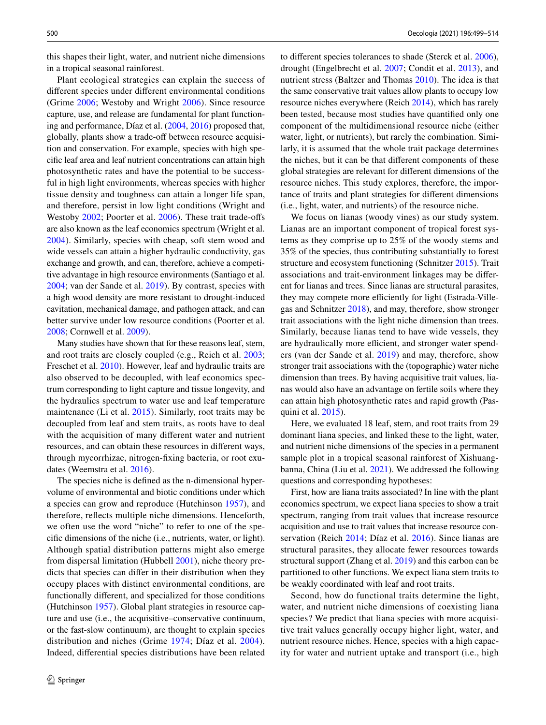this shapes their light, water, and nutrient niche dimensions in a tropical seasonal rainforest.

Plant ecological strategies can explain the success of diferent species under diferent environmental conditions (Grime [2006](#page-13-4); Westoby and Wright [2006](#page-15-2)). Since resource capture, use, and release are fundamental for plant functioning and performance, Díaz et al. ([2004,](#page-13-5) [2016\)](#page-13-6) proposed that, globally, plants show a trade-of between resource acquisition and conservation. For example, species with high specifc leaf area and leaf nutrient concentrations can attain high photosynthetic rates and have the potential to be successful in high light environments, whereas species with higher tissue density and toughness can attain a longer life span, and therefore, persist in low light conditions (Wright and Westoby [2002](#page-15-3); Poorter et al. [2006](#page-14-4)). These trait trade-ofs are also known as the leaf economics spectrum (Wright et al. [2004\)](#page-15-0). Similarly, species with cheap, soft stem wood and wide vessels can attain a higher hydraulic conductivity, gas exchange and growth, and can, therefore, achieve a competitive advantage in high resource environments (Santiago et al. [2004](#page-14-5); van der Sande et al. [2019](#page-15-4)). By contrast, species with a high wood density are more resistant to drought-induced cavitation, mechanical damage, and pathogen attack, and can better survive under low resource conditions (Poorter et al. [2008](#page-14-6); Cornwell et al. [2009](#page-13-7)).

Many studies have shown that for these reasons leaf, stem, and root traits are closely coupled (e.g., Reich et al. [2003](#page-14-1); Freschet et al. [2010\)](#page-13-8). However, leaf and hydraulic traits are also observed to be decoupled, with leaf economics spectrum corresponding to light capture and tissue longevity, and the hydraulics spectrum to water use and leaf temperature maintenance (Li et al. [2015\)](#page-14-7). Similarly, root traits may be decoupled from leaf and stem traits, as roots have to deal with the acquisition of many diferent water and nutrient resources, and can obtain these resources in diferent ways, through mycorrhizae, nitrogen-fxing bacteria, or root exudates (Weemstra et al. [2016](#page-15-5)).

The species niche is defned as the n-dimensional hypervolume of environmental and biotic conditions under which a species can grow and reproduce (Hutchinson [1957\)](#page-14-8), and therefore, refects multiple niche dimensions. Henceforth, we often use the word "niche" to refer to one of the specifc dimensions of the niche (i.e., nutrients, water, or light). Although spatial distribution patterns might also emerge from dispersal limitation (Hubbell [2001\)](#page-14-9), niche theory predicts that species can difer in their distribution when they occupy places with distinct environmental conditions, are functionally diferent, and specialized for those conditions (Hutchinson [1957](#page-14-8)). Global plant strategies in resource capture and use (i.e., the acquisitive–conservative continuum, or the fast-slow continuum), are thought to explain species distribution and niches (Grime [1974](#page-13-1); Díaz et al. [2004](#page-13-5)). Indeed, diferential species distributions have been related to diferent species tolerances to shade (Sterck et al. [2006](#page-15-6)), drought (Engelbrecht et al. [2007](#page-13-9); Condit et al. [2013\)](#page-13-10), and nutrient stress (Baltzer and Thomas [2010](#page-13-11)). The idea is that the same conservative trait values allow plants to occupy low resource niches everywhere (Reich [2014\)](#page-14-10), which has rarely been tested, because most studies have quantifed only one component of the multidimensional resource niche (either water, light, or nutrients), but rarely the combination. Similarly, it is assumed that the whole trait package determines the niches, but it can be that diferent components of these global strategies are relevant for diferent dimensions of the resource niches. This study explores, therefore, the importance of traits and plant strategies for diferent dimensions (i.e., light, water, and nutrients) of the resource niche.

We focus on lianas (woody vines) as our study system. Lianas are an important component of tropical forest systems as they comprise up to 25% of the woody stems and 35% of the species, thus contributing substantially to forest structure and ecosystem functioning (Schnitzer [2015\)](#page-15-7). Trait associations and trait-environment linkages may be diferent for lianas and trees. Since lianas are structural parasites, they may compete more efficiently for light (Estrada-Villegas and Schnitzer [2018\)](#page-13-12), and may, therefore, show stronger trait associations with the light niche dimension than trees. Similarly, because lianas tend to have wide vessels, they are hydraulically more efficient, and stronger water spenders (van der Sande et al. [2019](#page-15-4)) and may, therefore, show stronger trait associations with the (topographic) water niche dimension than trees. By having acquisitive trait values, lianas would also have an advantage on fertile soils where they can attain high photosynthetic rates and rapid growth (Pasquini et al. [2015](#page-14-11)).

Here, we evaluated 18 leaf, stem, and root traits from 29 dominant liana species, and linked these to the light, water, and nutrient niche dimensions of the species in a permanent sample plot in a tropical seasonal rainforest of Xishuangbanna, China (Liu et al. [2021](#page-14-12)). We addressed the following questions and corresponding hypotheses:

First, how are liana traits associated? In line with the plant economics spectrum, we expect liana species to show a trait spectrum, ranging from trait values that increase resource acquisition and use to trait values that increase resource conservation (Reich [2014;](#page-14-10) Díaz et al. [2016\)](#page-13-6). Since lianas are structural parasites, they allocate fewer resources towards structural support (Zhang et al. [2019\)](#page-15-8) and this carbon can be partitioned to other functions. We expect liana stem traits to be weakly coordinated with leaf and root traits.

Second, how do functional traits determine the light, water, and nutrient niche dimensions of coexisting liana species? We predict that liana species with more acquisitive trait values generally occupy higher light, water, and nutrient resource niches. Hence, species with a high capacity for water and nutrient uptake and transport (i.e., high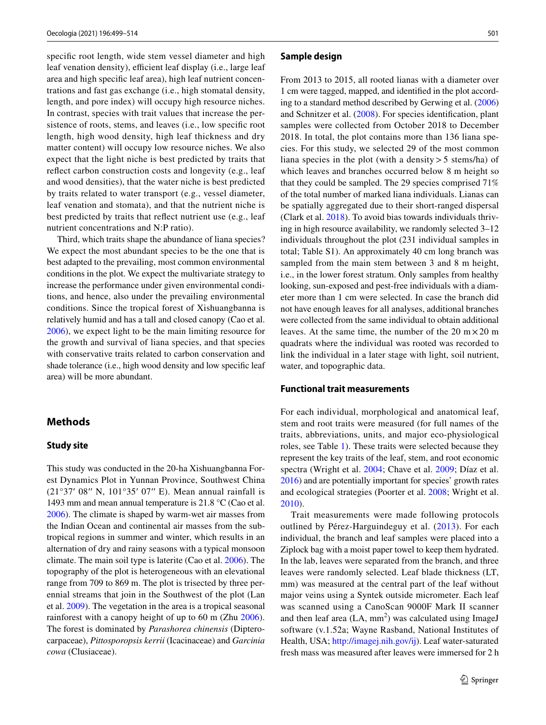specifc root length, wide stem vessel diameter and high leaf venation density), efficient leaf display (i.e., large leaf area and high specifc leaf area), high leaf nutrient concentrations and fast gas exchange (i.e., high stomatal density, length, and pore index) will occupy high resource niches. In contrast, species with trait values that increase the persistence of roots, stems, and leaves (i.e., low specific root length, high wood density, high leaf thickness and dry matter content) will occupy low resource niches. We also expect that the light niche is best predicted by traits that refect carbon construction costs and longevity (e.g., leaf and wood densities), that the water niche is best predicted by traits related to water transport (e.g., vessel diameter, leaf venation and stomata), and that the nutrient niche is best predicted by traits that refect nutrient use (e.g., leaf nutrient concentrations and N:P ratio).

Third, which traits shape the abundance of liana species? We expect the most abundant species to be the one that is best adapted to the prevailing, most common environmental conditions in the plot. We expect the multivariate strategy to increase the performance under given environmental conditions, and hence, also under the prevailing environmental conditions. Since the tropical forest of Xishuangbanna is relatively humid and has a tall and closed canopy (Cao et al. [2006](#page-13-13)), we expect light to be the main limiting resource for the growth and survival of liana species, and that species with conservative traits related to carbon conservation and shade tolerance (i.e., high wood density and low specifc leaf area) will be more abundant.

## <span id="page-2-0"></span>**Methods**

### **Study site**

This study was conducted in the 20-ha Xishuangbanna Forest Dynamics Plot in Yunnan Province, Southwest China (21°37′ 08′′ N, 101°35′ 07′′ E). Mean annual rainfall is 1493 mm and mean annual temperature is 21.8 °C (Cao et al. [2006](#page-13-13)). The climate is shaped by warm-wet air masses from the Indian Ocean and continental air masses from the subtropical regions in summer and winter, which results in an alternation of dry and rainy seasons with a typical monsoon climate. The main soil type is laterite (Cao et al. [2006](#page-13-13)). The topography of the plot is heterogeneous with an elevational range from 709 to 869 m. The plot is trisected by three perennial streams that join in the Southwest of the plot (Lan et al. [2009\)](#page-14-13). The vegetation in the area is a tropical seasonal rainforest with a canopy height of up to 60 m (Zhu [2006](#page-15-9)). The forest is dominated by *Parashorea chinensis* (Dipterocarpaceae), *Pittosporopsis kerrii* (Icacinaceae) and *Garcinia cowa* (Clusiaceae).

### **Sample design**

From 2013 to 2015, all rooted lianas with a diameter over 1 cm were tagged, mapped, and identifed in the plot according to a standard method described by Gerwing et al. [\(2006](#page-13-14)) and Schnitzer et al. ([2008](#page-15-10)). For species identifcation, plant samples were collected from October 2018 to December 2018. In total, the plot contains more than 136 liana species. For this study, we selected 29 of the most common liana species in the plot (with a density  $>$  5 stems/ha) of which leaves and branches occurred below 8 m height so that they could be sampled. The 29 species comprised 71% of the total number of marked liana individuals. Lianas can be spatially aggregated due to their short-ranged dispersal (Clark et al. [2018](#page-13-15)). To avoid bias towards individuals thriving in high resource availability, we randomly selected 3–12 individuals throughout the plot (231 individual samples in total; Table S1). An approximately 40 cm long branch was sampled from the main stem between 3 and 8 m height, i.e., in the lower forest stratum. Only samples from healthy looking, sun-exposed and pest-free individuals with a diameter more than 1 cm were selected. In case the branch did not have enough leaves for all analyses, additional branches were collected from the same individual to obtain additional leaves. At the same time, the number of the 20 m  $\times$  20 m quadrats where the individual was rooted was recorded to link the individual in a later stage with light, soil nutrient, water, and topographic data.

### **Functional trait measurements**

For each individual, morphological and anatomical leaf, stem and root traits were measured (for full names of the traits, abbreviations, units, and major eco-physiological roles, see Table [1\)](#page-3-0). These traits were selected because they represent the key traits of the leaf, stem, and root economic spectra (Wright et al. [2004;](#page-15-0) Chave et al. [2009;](#page-13-16) Díaz et al. [2016](#page-13-6)) and are potentially important for species' growth rates and ecological strategies (Poorter et al. [2008;](#page-14-6) Wright et al. [2010](#page-15-11)).

Trait measurements were made following protocols outlined by Pérez-Harguindeguy et al. ([2013\)](#page-14-14). For each individual, the branch and leaf samples were placed into a Ziplock bag with a moist paper towel to keep them hydrated. In the lab, leaves were separated from the branch, and three leaves were randomly selected. Leaf blade thickness (LT, mm) was measured at the central part of the leaf without major veins using a Syntek outside micrometer. Each leaf was scanned using a CanoScan 9000F Mark II scanner and then leaf area  $(LA, mm^2)$  was calculated using ImageJ software (v.1.52a; Wayne Rasband, National Institutes of Health, USA; <http://imagej.nih.gov/ij>). Leaf water-saturated fresh mass was measured after leaves were immersed for 2 h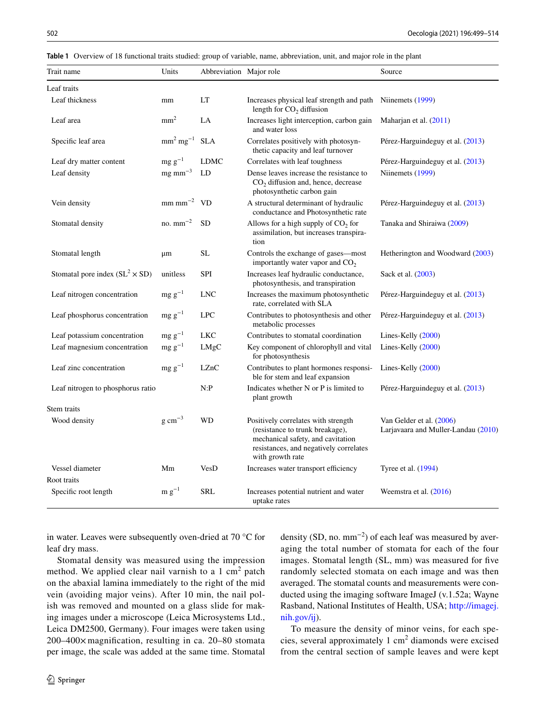<span id="page-3-0"></span>

|  |  | Table 1 Overview of 18 functional traits studied: group of variable, name, abbreviation, unit, and major role in the plant |  |  |  |  |  |  |
|--|--|----------------------------------------------------------------------------------------------------------------------------|--|--|--|--|--|--|
|--|--|----------------------------------------------------------------------------------------------------------------------------|--|--|--|--|--|--|

| Trait name                             | Units                              | Abbreviation Major role |                                                                                                                                                                           | Source                                                          |
|----------------------------------------|------------------------------------|-------------------------|---------------------------------------------------------------------------------------------------------------------------------------------------------------------------|-----------------------------------------------------------------|
| Leaf traits                            |                                    |                         |                                                                                                                                                                           |                                                                 |
| Leaf thickness                         | mm                                 | LT                      | Increases physical leaf strength and path<br>length for $CO2$ diffusion                                                                                                   | Niinemets (1999)                                                |
| Leaf area                              | mm <sup>2</sup>                    | LA                      | Increases light interception, carbon gain<br>and water loss                                                                                                               | Maharjan et al. (2011)                                          |
| Specific leaf area                     | $mm2$ mg <sup>-1</sup>             | <b>SLA</b>              | Correlates positively with photosyn-<br>thetic capacity and leaf turnover                                                                                                 | Pérez-Harguindeguy et al. (2013)                                |
| Leaf dry matter content                | $mg g^{-1}$                        | <b>LDMC</b>             | Correlates with leaf toughness                                                                                                                                            | Pérez-Harguindeguy et al. (2013)                                |
| Leaf density                           | $mg$ mm <sup><math>-3</math></sup> | LD                      | Dense leaves increase the resistance to<br>$CO2$ diffusion and, hence, decrease<br>photosynthetic carbon gain                                                             | Niinemets (1999)                                                |
| Vein density                           | $mm \, mm^{-2}$ VD                 |                         | A structural determinant of hydraulic<br>conductance and Photosynthetic rate                                                                                              | Pérez-Harguindeguy et al. (2013)                                |
| Stomatal density                       | no. $mm^{-2}$                      | <b>SD</b>               | Allows for a high supply of $CO2$ for<br>assimilation, but increases transpira-<br>tion                                                                                   | Tanaka and Shiraiwa (2009)                                      |
| Stomatal length                        | μm                                 | <b>SL</b>               | Controls the exchange of gases—most<br>importantly water vapor and $CO2$                                                                                                  | Hetherington and Woodward (2003)                                |
| Stomatal pore index $(SL^2 \times SD)$ | unitless                           | <b>SPI</b>              | Increases leaf hydraulic conductance,<br>photosynthesis, and transpiration                                                                                                | Sack et al. (2003)                                              |
| Leaf nitrogen concentration            | $mg g^{-1}$                        | <b>LNC</b>              | Increases the maximum photosynthetic<br>rate, correlated with SLA                                                                                                         | Pérez-Harguindeguy et al. (2013)                                |
| Leaf phosphorus concentration          | $mg g^{-1}$                        | <b>LPC</b>              | Contributes to photosynthesis and other<br>metabolic processes                                                                                                            | Pérez-Harguindeguy et al. (2013)                                |
| Leaf potassium concentration           | $mg g^{-1}$                        | <b>LKC</b>              | Contributes to stomatal coordination                                                                                                                                      | Lines-Kelly (2000)                                              |
| Leaf magnesium concentration           | $mg g^{-1}$                        | LMgC                    | Key component of chlorophyll and vital<br>for photosynthesis                                                                                                              | Lines-Kelly (2000)                                              |
| Leaf zinc concentration                | $mg g^{-1}$                        | LZnC                    | Contributes to plant hormones responsi-<br>ble for stem and leaf expansion                                                                                                | Lines-Kelly $(2000)$                                            |
| Leaf nitrogen to phosphorus ratio      |                                    | N:P                     | Indicates whether N or P is limited to<br>plant growth                                                                                                                    | Pérez-Harguindeguy et al. (2013)                                |
| Stem traits                            |                                    |                         |                                                                                                                                                                           |                                                                 |
| Wood density                           | $g \text{ cm}^{-3}$                | WD                      | Positively correlates with strength<br>(resistance to trunk breakage),<br>mechanical safety, and cavitation<br>resistances, and negatively correlates<br>with growth rate | Van Gelder et al. (2006)<br>Larjavaara and Muller-Landau (2010) |
| Vessel diameter                        | Mm                                 | VesD                    | Increases water transport efficiency                                                                                                                                      | Tyree et al. (1994)                                             |
| Root traits                            |                                    |                         |                                                                                                                                                                           |                                                                 |
| Specific root length                   | $m g^{-1}$                         | <b>SRL</b>              | Increases potential nutrient and water<br>uptake rates                                                                                                                    | Weemstra et al. $(2016)$                                        |

in water. Leaves were subsequently oven-dried at 70 °C for leaf dry mass.

Stomatal density was measured using the impression method. We applied clear nail varnish to a  $1 \text{ cm}^2$  patch on the abaxial lamina immediately to the right of the mid vein (avoiding major veins). After 10 min, the nail polish was removed and mounted on a glass slide for making images under a microscope (Leica Microsystems Ltd., Leica DM2500, Germany). Four images were taken using 200–400× magnifcation, resulting in ca. 20–80 stomata per image, the scale was added at the same time. Stomatal

density (SD, no.  $mm^{-2}$ ) of each leaf was measured by averaging the total number of stomata for each of the four images. Stomatal length (SL, mm) was measured for fve randomly selected stomata on each image and was then averaged. The stomatal counts and measurements were conducted using the imaging software ImageJ (v.1.52a; Wayne Rasband, National Institutes of Health, USA; [http://imagej.](http://imagej.nih.gov/ij) [nih.gov/ij\)](http://imagej.nih.gov/ij).

To measure the density of minor veins, for each species, several approximately  $1 \text{ cm}^2$  diamonds were excised from the central section of sample leaves and were kept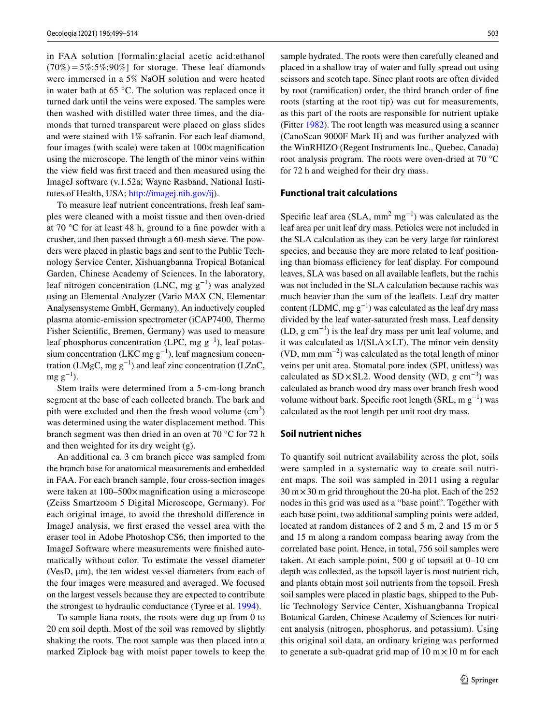in FAA solution [formalin:glacial acetic acid:ethanol  $(70\%) = 5\% : 5\% : 90\%$  for storage. These leaf diamonds were immersed in a 5% NaOH solution and were heated in water bath at 65 °C. The solution was replaced once it turned dark until the veins were exposed. The samples were then washed with distilled water three times, and the diamonds that turned transparent were placed on glass slides and were stained with 1% safranin. For each leaf diamond, four images (with scale) were taken at  $100 \times$  magnification using the microscope. The length of the minor veins within the view feld was frst traced and then measured using the ImageJ software (v.1.52a; Wayne Rasband, National Institutes of Health, USA; <http://imagej.nih.gov/ij>).

To measure leaf nutrient concentrations, fresh leaf samples were cleaned with a moist tissue and then oven-dried at 70 °C for at least 48 h, ground to a fne powder with a crusher, and then passed through a 60-mesh sieve. The powders were placed in plastic bags and sent to the Public Technology Service Center, Xishuangbanna Tropical Botanical Garden, Chinese Academy of Sciences. In the laboratory, leaf nitrogen concentration (LNC, mg  $g^{-1}$ ) was analyzed using an Elemental Analyzer (Vario MAX CN, Elementar Analysensysteme GmbH, Germany). An inductively coupled plasma atomic-emission spectrometer (iCAP7400, Thermo Fisher Scientifc, Bremen, Germany) was used to measure leaf phosphorus concentration (LPC, mg  $g^{-1}$ ), leaf potassium concentration (LKC mg  $g^{-1}$ ), leaf magnesium concentration (LMgC, mg  $g^{-1}$ ) and leaf zinc concentration (LZnC,  $mg g^{-1}$ ).

Stem traits were determined from a 5-cm-long branch segment at the base of each collected branch. The bark and pith were excluded and then the fresh wood volume  $(cm<sup>3</sup>)$ was determined using the water displacement method. This branch segment was then dried in an oven at 70 °C for 72 h and then weighted for its dry weight (g).

An additional ca. 3 cm branch piece was sampled from the branch base for anatomical measurements and embedded in FAA. For each branch sample, four cross-section images were taken at  $100-500\times$  magnification using a microscope (Zeiss Smartzoom 5 Digital Microscope, Germany). For each original image, to avoid the threshold diference in ImageJ analysis, we frst erased the vessel area with the eraser tool in Adobe Photoshop CS6, then imported to the ImageJ Software where measurements were fnished automatically without color. To estimate the vessel diameter (VesD,  $\mu$ m), the ten widest vessel diameters from each of the four images were measured and averaged. We focused on the largest vessels because they are expected to contribute the strongest to hydraulic conductance (Tyree et al. [1994](#page-15-14)).

To sample liana roots, the roots were dug up from 0 to 20 cm soil depth. Most of the soil was removed by slightly shaking the roots. The root sample was then placed into a marked Ziplock bag with moist paper towels to keep the sample hydrated. The roots were then carefully cleaned and placed in a shallow tray of water and fully spread out using scissors and scotch tape. Since plant roots are often divided by root (ramifcation) order, the third branch order of fne roots (starting at the root tip) was cut for measurements, as this part of the roots are responsible for nutrient uptake (Fitter [1982](#page-13-17)). The root length was measured using a scanner (CanoScan 9000F Mark II) and was further analyzed with the WinRHIZO (Regent Instruments Inc., Quebec, Canada) root analysis program. The roots were oven-dried at 70 °C for 72 h and weighed for their dry mass.

### **Functional trait calculations**

Specific leaf area (SLA,  $mm^2$  mg<sup>-1</sup>) was calculated as the leaf area per unit leaf dry mass. Petioles were not included in the SLA calculation as they can be very large for rainforest species, and because they are more related to leaf positioning than biomass efficiency for leaf display. For compound leaves, SLA was based on all available leafets, but the rachis was not included in the SLA calculation because rachis was much heavier than the sum of the leafets. Leaf dry matter content (LDMC, mg  $g^{-1}$ ) was calculated as the leaf dry mass divided by the leaf water-saturated fresh mass. Leaf density (LD, g cm<sup>-3</sup>) is the leaf dry mass per unit leaf volume, and it was calculated as  $1/(SLA \times LT)$ . The minor vein density (VD, mm mm<sup> $-2$ </sup>) was calculated as the total length of minor veins per unit area. Stomatal pore index (SPI, unitless) was calculated as  $SD \times SL2$ . Wood density (WD, g cm<sup>-3</sup>) was calculated as branch wood dry mass over branch fresh wood volume without bark. Specific root length (SRL, m  $g^{-1}$ ) was calculated as the root length per unit root dry mass.

### **Soil nutrient niches**

To quantify soil nutrient availability across the plot, soils were sampled in a systematic way to create soil nutrient maps. The soil was sampled in 2011 using a regular  $30 \text{ m} \times 30 \text{ m}$  grid throughout the 20-ha plot. Each of the 252 nodes in this grid was used as a "base point". Together with each base point, two additional sampling points were added, located at random distances of 2 and 5 m, 2 and 15 m or 5 and 15 m along a random compass bearing away from the correlated base point. Hence, in total, 756 soil samples were taken. At each sample point, 500 g of topsoil at 0–10 cm depth was collected, as the topsoil layer is most nutrient rich, and plants obtain most soil nutrients from the topsoil. Fresh soil samples were placed in plastic bags, shipped to the Public Technology Service Center, Xishuangbanna Tropical Botanical Garden, Chinese Academy of Sciences for nutrient analysis (nitrogen, phosphorus, and potassium). Using this original soil data, an ordinary kriging was performed to generate a sub-quadrat grid map of  $10 \text{ m} \times 10 \text{ m}$  for each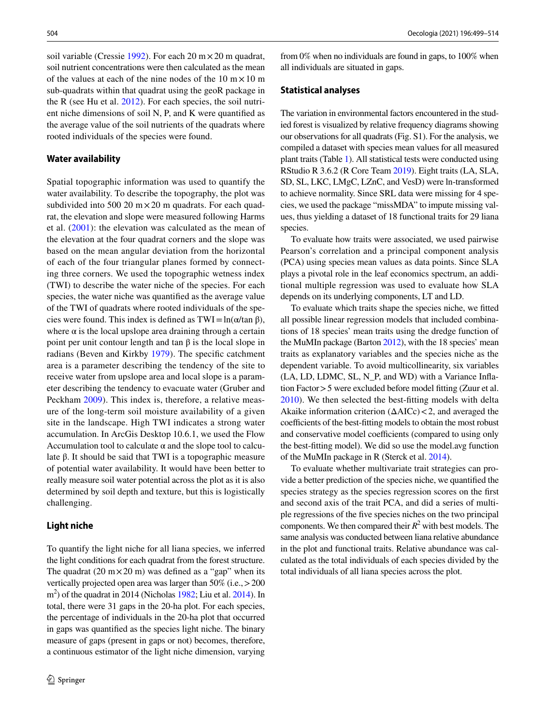soil variable (Cressie [1992\)](#page-13-18). For each 20 m $\times$  20 m quadrat, soil nutrient concentrations were then calculated as the mean of the values at each of the nine nodes of the  $10 \text{ m} \times 10 \text{ m}$ sub-quadrats within that quadrat using the geoR package in the R (see Hu et al. [2012\)](#page-14-21). For each species, the soil nutrient niche dimensions of soil N, P, and K were quantifed as the average value of the soil nutrients of the quadrats where rooted individuals of the species were found.

### **Water availability**

Spatial topographic information was used to quantify the water availability. To describe the topography, the plot was subdivided into 500 20  $m \times 20$  m quadrats. For each quadrat, the elevation and slope were measured following Harms et al. ([2001\)](#page-14-22): the elevation was calculated as the mean of the elevation at the four quadrat corners and the slope was based on the mean angular deviation from the horizontal of each of the four triangular planes formed by connecting three corners. We used the topographic wetness index (TWI) to describe the water niche of the species. For each species, the water niche was quantifed as the average value of the TWI of quadrats where rooted individuals of the species were found. This index is defined as  $TWI = ln(\alpha / \tan \beta)$ , where  $\alpha$  is the local upslope area draining through a certain point per unit contour length and tan β is the local slope in radians (Beven and Kirkby [1979](#page-13-19)). The specifc catchment area is a parameter describing the tendency of the site to receive water from upslope area and local slope is a parameter describing the tendency to evacuate water (Gruber and Peckham [2009\)](#page-14-23). This index is, therefore, a relative measure of the long-term soil moisture availability of a given site in the landscape. High TWI indicates a strong water accumulation. In ArcGis Desktop 10.6.1, we used the Flow Accumulation tool to calculate  $\alpha$  and the slope tool to calculate β. It should be said that TWI is a topographic measure of potential water availability. It would have been better to really measure soil water potential across the plot as it is also determined by soil depth and texture, but this is logistically challenging.

### **Light niche**

To quantify the light niche for all liana species, we inferred the light conditions for each quadrat from the forest structure. The quadrat (20 m $\times$  20 m) was defined as a "gap" when its vertically projected open area was larger than 50% (i.e.,>200 m<sup>2</sup>) of the quadrat in 2014 (Nicholas [1982](#page-14-24); Liu et al. [2014](#page-14-25)). In total, there were 31 gaps in the 20-ha plot. For each species, the percentage of individuals in the 20-ha plot that occurred in gaps was quantifed as the species light niche. The binary measure of gaps (present in gaps or not) becomes, therefore, a continuous estimator of the light niche dimension, varying

from 0% when no individuals are found in gaps, to 100% when all individuals are situated in gaps.

### **Statistical analyses**

The variation in environmental factors encountered in the studied forest is visualized by relative frequency diagrams showing our observations for all quadrats (Fig. S1). For the analysis, we compiled a dataset with species mean values for all measured plant traits (Table [1\)](#page-3-0). All statistical tests were conducted using RStudio R 3.6.2 (R Core Team [2019\)](#page-14-26). Eight traits (LA, SLA, SD, SL, LKC, LMgC, LZnC, and VesD) were ln-transformed to achieve normality. Since SRL data were missing for 4 species, we used the package "missMDA" to impute missing values, thus yielding a dataset of 18 functional traits for 29 liana species.

To evaluate how traits were associated, we used pairwise Pearson's correlation and a principal component analysis (PCA) using species mean values as data points. Since SLA plays a pivotal role in the leaf economics spectrum, an additional multiple regression was used to evaluate how SLA depends on its underlying components, LT and LD.

To evaluate which traits shape the species niche, we ftted all possible linear regression models that included combinations of 18 species' mean traits using the dredge function of the MuMIn package (Barton [2012](#page-13-20)), with the 18 species' mean traits as explanatory variables and the species niche as the dependent variable. To avoid multicollinearity, six variables (LA, LD, LDMC, SL, N\_P, and WD) with a Variance Infation Factor>5 were excluded before model ftting (Zuur et al. [2010](#page-15-15)). We then selected the best-ftting models with delta Akaike information criterion  $(\Delta AICc) < 2$ , and averaged the coefficients of the best-fitting models to obtain the most robust and conservative model coefficients (compared to using only the best-ftting model). We did so use the model.avg function of the MuMIn package in R (Sterck et al. [2014](#page-15-16)).

To evaluate whether multivariate trait strategies can provide a better prediction of the species niche, we quantifed the species strategy as the species regression scores on the frst and second axis of the trait PCA, and did a series of multiple regressions of the fve species niches on the two principal components. We then compared their  $R^2$  with best models. The same analysis was conducted between liana relative abundance in the plot and functional traits. Relative abundance was calculated as the total individuals of each species divided by the total individuals of all liana species across the plot.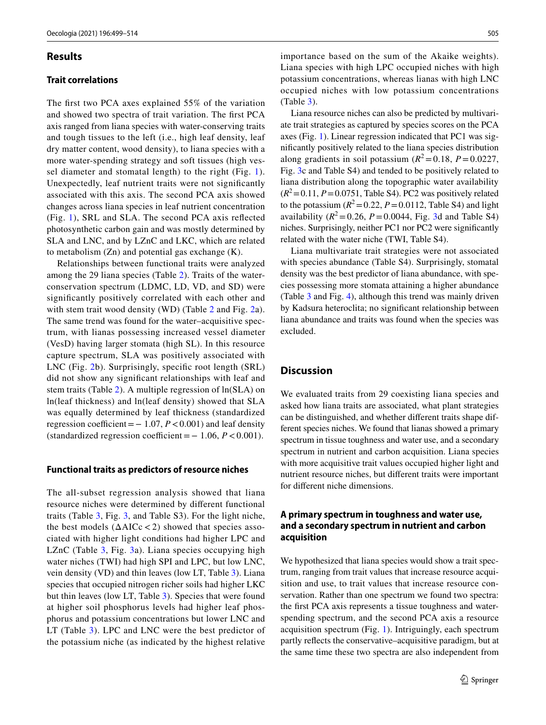### **Results**

### **Trait correlations**

The frst two PCA axes explained 55% of the variation and showed two spectra of trait variation. The frst PCA axis ranged from liana species with water-conserving traits and tough tissues to the left (i.e., high leaf density, leaf dry matter content, wood density), to liana species with a more water-spending strategy and soft tissues (high vessel diameter and stomatal length) to the right (Fig. [1\)](#page-8-0). Unexpectedly, leaf nutrient traits were not signifcantly associated with this axis. The second PCA axis showed changes across liana species in leaf nutrient concentration (Fig. [1](#page-8-0)), SRL and SLA. The second PCA axis refected photosynthetic carbon gain and was mostly determined by SLA and LNC, and by LZnC and LKC, which are related to metabolism (Zn) and potential gas exchange (K).

Relationships between functional traits were analyzed among the 29 liana species (Table [2\)](#page-7-0). Traits of the waterconservation spectrum (LDMC, LD, VD, and SD) were signifcantly positively correlated with each other and with stem trait wood density (WD) (Table [2](#page-7-0) and Fig. [2](#page-9-0)a). The same trend was found for the water–acquisitive spectrum, with lianas possessing increased vessel diameter (VesD) having larger stomata (high SL). In this resource capture spectrum, SLA was positively associated with LNC (Fig. [2b](#page-9-0)). Surprisingly, specifc root length (SRL) did not show any signifcant relationships with leaf and stem traits (Table [2](#page-7-0)). A multiple regression of ln(SLA) on ln(leaf thickness) and ln(leaf density) showed that SLA was equally determined by leaf thickness (standardized regression coefficient =  $-1.07$ ,  $P < 0.001$ ) and leaf density (standardized regression coefficient =  $-1.06$ ,  $P < 0.001$ ).

### **Functional traits as predictors of resource niches**

The all-subset regression analysis showed that liana resource niches were determined by diferent functional traits (Table [3,](#page-8-1) Fig. [3,](#page-10-0) and Table S3). For the light niche, the best models  $(\Delta AICc < 2)$  showed that species associated with higher light conditions had higher LPC and LZnC (Table [3](#page-8-1), Fig. [3a](#page-10-0)). Liana species occupying high water niches (TWI) had high SPI and LPC, but low LNC, vein density (VD) and thin leaves (low LT, Table [3\)](#page-8-1). Liana species that occupied nitrogen richer soils had higher LKC but thin leaves (low LT, Table [3](#page-8-1)). Species that were found at higher soil phosphorus levels had higher leaf phosphorus and potassium concentrations but lower LNC and LT (Table [3\)](#page-8-1). LPC and LNC were the best predictor of the potassium niche (as indicated by the highest relative importance based on the sum of the Akaike weights). Liana species with high LPC occupied niches with high potassium concentrations, whereas lianas with high LNC occupied niches with low potassium concentrations (Table [3\)](#page-8-1).

Liana resource niches can also be predicted by multivariate trait strategies as captured by species scores on the PCA axes (Fig. [1](#page-8-0)). Linear regression indicated that PC1 was signifcantly positively related to the liana species distribution along gradients in soil potassium ( $R^2$ =0.18, *P* = 0.0227, Fig. [3c](#page-10-0) and Table S4) and tended to be positively related to liana distribution along the topographic water availability  $(R^2=0.11, P=0.0751,$  Table S4). PC2 was positively related to the potassium  $(R^2=0.22, P=0.0112,$  Table S4) and light availability  $(R^2 = 0.26, P = 0.0044, Fig. 3d and Table S4)$  $(R^2 = 0.26, P = 0.0044, Fig. 3d and Table S4)$  $(R^2 = 0.26, P = 0.0044, Fig. 3d and Table S4)$ niches. Surprisingly, neither PC1 nor PC2 were signifcantly related with the water niche (TWI, Table S4).

Liana multivariate trait strategies were not associated with species abundance (Table S4). Surprisingly, stomatal density was the best predictor of liana abundance, with species possessing more stomata attaining a higher abundance (Table [3](#page-8-1) and Fig. [4](#page-10-1)), although this trend was mainly driven by Kadsura heteroclita; no signifcant relationship between liana abundance and traits was found when the species was excluded.

# **Discussion**

We evaluated traits from 29 coexisting liana species and asked how liana traits are associated, what plant strategies can be distinguished, and whether diferent traits shape different species niches. We found that lianas showed a primary spectrum in tissue toughness and water use, and a secondary spectrum in nutrient and carbon acquisition. Liana species with more acquisitive trait values occupied higher light and nutrient resource niches, but diferent traits were important for diferent niche dimensions.

# **A primary spectrum in toughness and water use, and a secondary spectrum in nutrient and carbon acquisition**

We hypothesized that liana species would show a trait spectrum, ranging from trait values that increase resource acquisition and use, to trait values that increase resource conservation. Rather than one spectrum we found two spectra: the frst PCA axis represents a tissue toughness and waterspending spectrum, and the second PCA axis a resource acquisition spectrum (Fig. [1](#page-8-0)). Intriguingly, each spectrum partly refects the conservative–acquisitive paradigm, but at the same time these two spectra are also independent from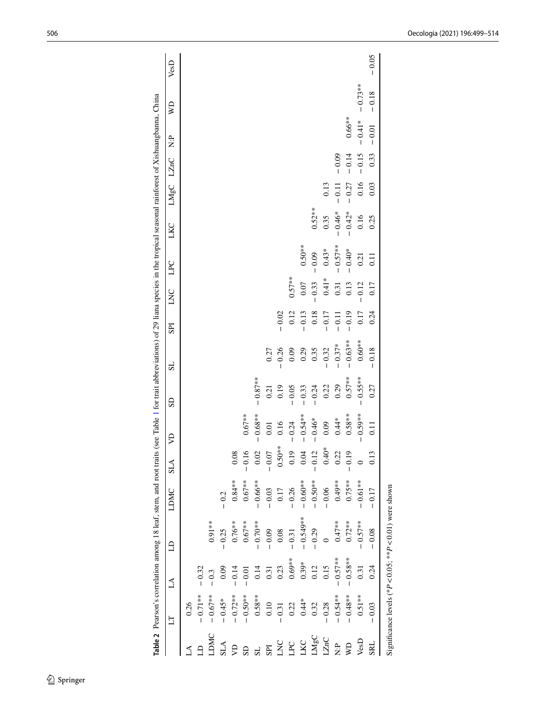|                                                                   |            |            | <b>Table 2</b> Pearson's correlation among 18 leaf, stem, and root traits (see Table 1 for trait abbreviations) of 29 liana species in the tropical seasonal rainforest of Xishuangbanna, China |            |                  |                   |            |           |            |          |            |           |         |         |           |           |         |
|-------------------------------------------------------------------|------------|------------|-------------------------------------------------------------------------------------------------------------------------------------------------------------------------------------------------|------------|------------------|-------------------|------------|-----------|------------|----------|------------|-----------|---------|---------|-----------|-----------|---------|
|                                                                   | Ë          | A          | $\Xi$                                                                                                                                                                                           | LDMC       | <b>ALS</b>       | Ş                 | <b>GS</b>  | 1S        | <b>IdS</b> | LNC      | LPC        | LKC       | LMgC    | LZnC    | 2.<br>Z   | Ş         | VesD    |
|                                                                   | 0.26       |            |                                                                                                                                                                                                 |            |                  |                   |            |           |            |          |            |           |         |         |           |           |         |
|                                                                   | $-0.71**$  | $-0.32$    |                                                                                                                                                                                                 |            |                  |                   |            |           |            |          |            |           |         |         |           |           |         |
| <b>NKC</b>                                                        | $-0.67**$  | $-0.3$     | $0.91**$                                                                                                                                                                                        |            |                  |                   |            |           |            |          |            |           |         |         |           |           |         |
| <b>SLA</b>                                                        | $-0.45*$   | 0.09       | $-0.25$                                                                                                                                                                                         | $-0.2$     |                  |                   |            |           |            |          |            |           |         |         |           |           |         |
|                                                                   | $-0.72**$  | $-0.14$    | $0.76***$                                                                                                                                                                                       | $0.84***$  | $\frac{8}{3}$    |                   |            |           |            |          |            |           |         |         |           |           |         |
|                                                                   | $-0.50**$  | $-0.01$    | $0.67***$                                                                                                                                                                                       | $0.67**$   | 16               | $0.67***$         |            |           |            |          |            |           |         |         |           |           |         |
|                                                                   | $0.58***$  | 0.14       | $-0.70**$                                                                                                                                                                                       | $-0.66**$  | $0.02\,$         | $-0.68**$         | $-0.87***$ |           |            |          |            |           |         |         |           |           |         |
| SPI                                                               | 0.10       | 0.31       | $-0.09$                                                                                                                                                                                         | $-0.03$    | 0.07             | $0.01\,$          | 0.21       | 0.27      |            |          |            |           |         |         |           |           |         |
| $\overline{K}$                                                    | $-0.31$    | 0.23       | $0.08\,$                                                                                                                                                                                        | $0.17$     | $0.50**$         | 0.16              | 0.19       | $-0.26$   | $-0.02$    |          |            |           |         |         |           |           |         |
| P <sub>C</sub>                                                    | 0.22       | $0.69**$   | $-0.31$                                                                                                                                                                                         | $-0.26$    | 0.19             | $-0.24$           | $-0.05$    | 0.09      | 0.12       | $0.57**$ |            |           |         |         |           |           |         |
| <b>JXC</b>                                                        | $0.44*$    | $0.39*$    | $-0.549**$                                                                                                                                                                                      | $-0.60***$ | 0.04             | $-0.54***$        | $-0.33$    | 0.29      | $-0.13$    | 0.07     | $0.50***$  |           |         |         |           |           |         |
| $\begin{array}{c}\n\Box\text{MgC} \\ \Box\text{ZnC}\n\end{array}$ | 0.32       | 0.12       | $-0.29$                                                                                                                                                                                         | $-0.50**$  | $-0.12$          | $-0.46*$          | $-0.24$    | 0.35      | 0.18       | $-0.33$  | $-0.09$    | $0.52***$ |         |         |           |           |         |
|                                                                   | $-0.28$    | 0.15       |                                                                                                                                                                                                 | $-0.06$    | $40*$<br>$\circ$ | 0.09              | 0.22       | $-0.32$   | $-0.17$    | $0.41*$  | $0.43*$    | 0.35      | 0.13    |         |           |           |         |
| $\frac{P}{Z}$                                                     | $-0.54***$ | $-0.57***$ | $0.47**$                                                                                                                                                                                        | $0.49**$   | 0.22             | $0.44*$           | 0.29       | $-0.37*$  | $-0.11$    | 0.31     | $-0.57***$ | $-0.46*$  | $-0.11$ | $-0.09$ |           |           |         |
| QW                                                                | $-0.48***$ | $-0.58***$ | $0.72***$                                                                                                                                                                                       | $0.75***$  | $-0.19$          | $0.58***$         | $0.57***$  | $-0.63**$ | $-0.19$    | 0.13     | $-0.40*$   | $-0.42*$  | $-0.27$ | $-0.14$ | $0.66***$ |           |         |
| VesD                                                              | $0.51***$  | 0.31       | $-0.57**$                                                                                                                                                                                       | $-0.61***$ | $\circ$          | $0.59***$         | $-0.55***$ | $0.60**$  | 0.17       | $-0.12$  | 0.21       | 0.16      | 0.16    | $-0.15$ | $-0.41*$  | $-0.73**$ |         |
| <b>SRL</b>                                                        | $-0.03$    | 0.24       | 0.08                                                                                                                                                                                            | $-0.17$    | 0.13             | $\overline{0.11}$ | 0.27       | $-0.18$   | 0.24       | 0.17     | $\Xi$      | 0.25      | 0.03    | 0.33    | $-0.01$   | $-0.18$   | $-0.05$ |
|                                                                   |            |            | Significance levels (* $P$ < 0.05; ** $P$ < 0.01) were shown                                                                                                                                    |            |                  |                   |            |           |            |          |            |           |         |         |           |           |         |

<span id="page-7-0"></span>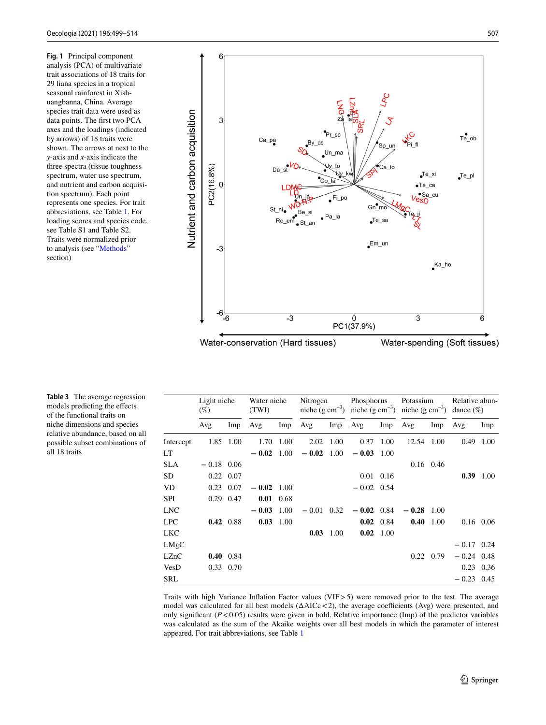<span id="page-8-0"></span>**Fig. 1** Principal component analysis (PCA) of multivariate trait associations of 18 traits for 29 liana species in a tropical seasonal rainforest in Xishuangbanna, China. Average species trait data were used as data points. The frst two PCA axes and the loadings (indicated by arrows) of 18 traits were shown. The arrows at next to the *y*-axis and *x*-axis indicate the three spectra (tissue toughness spectrum, water use spectrum, and nutrient and carbon acquisition spectrum). Each point represents one species. For trait abbreviations, see Table [1](#page-3-0). For loading scores and species code, see Table S1 and Table S2. Traits were normalized prior to analysis (see "[Methods](#page-2-0)" section)



**Table 3** The average regression

<span id="page-8-1"></span>models predicting the efects of the functional traits on niche dimensions and species relative abundance, based on all possible subset combinations of all 18 traits

|            | Light niche<br>$(\%)$ |                   | Water niche<br>(TWI) |                   |              | Nitrogen          |              | Phosphorus Potassium<br>niche (g cm <sup>-3</sup> ) niche (g cm <sup>-3</sup> ) niche (g cm <sup>-3</sup> ) dance (%) |              |                   | Relative abun- |             |
|------------|-----------------------|-------------------|----------------------|-------------------|--------------|-------------------|--------------|-----------------------------------------------------------------------------------------------------------------------|--------------|-------------------|----------------|-------------|
|            | Avg                   | Imp               | Avg                  | Imp               | Avg          | Imp               | Avg          | Imp                                                                                                                   | Avg          | Imp               | Avg            | Imp         |
| Intercept  |                       | 1.85 1.00         | 1.70                 | 1.00              | 2.02         | 1.00              | 0.37         | 1.00                                                                                                                  | 12.54 1.00   |                   |                | 0.49 1.00   |
| LT         |                       |                   | $-0.02$              | 1.00              | $-0.02$      | 1.00              | $-0.03$ 1.00 |                                                                                                                       |              |                   |                |             |
| <b>SLA</b> | $-0.18$ 0.06          |                   |                      |                   |              |                   |              |                                                                                                                       |              | $0.16$ 0.46       |                |             |
| SD         | $0.22 \quad 0.07$     |                   |                      |                   |              |                   |              | $0.01$ 0.16                                                                                                           |              |                   |                | $0.39$ 1.00 |
| VD         |                       | $0.23$ 0.07       | $-0.02 \quad 1.00$   |                   |              |                   | $-0.02$ 0.54 |                                                                                                                       |              |                   |                |             |
| <b>SPI</b> |                       | $0.29$ 0.47       |                      | $0.01 \quad 0.68$ |              |                   |              |                                                                                                                       |              |                   |                |             |
| <b>LNC</b> |                       |                   | $-0.03$ 1.00         |                   | $-0.01$ 0.32 |                   | $-0.02$ 0.84 |                                                                                                                       | $-0.28$ 1.00 |                   |                |             |
| <b>LPC</b> |                       | $0.42 \quad 0.88$ |                      | $0.03$ 1.00       |              |                   |              | $0.02 \quad 0.84$                                                                                                     |              | $0.40 \quad 1.00$ | $0.16$ 0.06    |             |
| LKC        |                       |                   |                      |                   |              | $0.03 \quad 1.00$ |              | $0.02 \quad 1.00$                                                                                                     |              |                   |                |             |
| LMgC       |                       |                   |                      |                   |              |                   |              |                                                                                                                       |              |                   | $-0.17$ 0.24   |             |
| LZnC       |                       | $0.40 \quad 0.84$ |                      |                   |              |                   |              |                                                                                                                       |              | $0.22 \quad 0.79$ | $-0.24$ 0.48   |             |
| VesD       |                       | $0.33 \quad 0.70$ |                      |                   |              |                   |              |                                                                                                                       |              |                   | $0.23$ 0.36    |             |
| <b>SRL</b> |                       |                   |                      |                   |              |                   |              |                                                                                                                       |              |                   | $-0.23$ 0.45   |             |

Traits with high Variance Infation Factor values (VIF>5) were removed prior to the test. The average model was calculated for all best models  $(\Delta AICc < 2)$ , the average coefficients (Avg) were presented, and only significant  $(P<0.05)$  results were given in bold. Relative importance (Imp) of the predictor variables was calculated as the sum of the Akaike weights over all best models in which the parameter of interest appeared. For trait abbreviations, see Table [1](#page-3-0)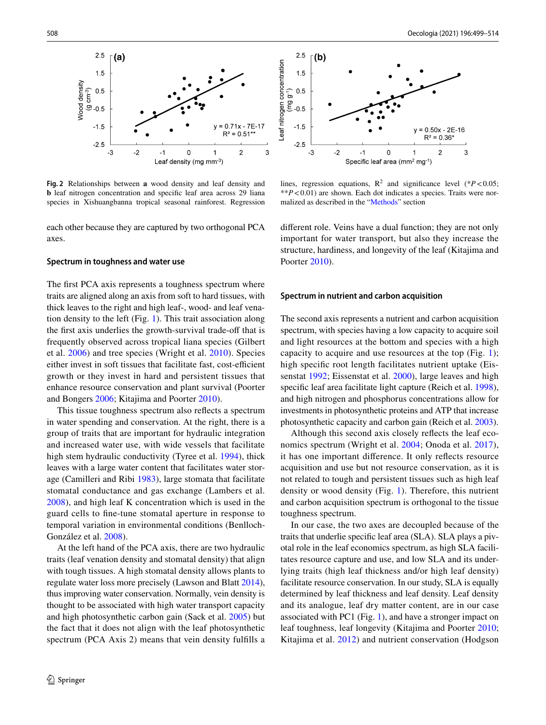

<span id="page-9-0"></span>**Fig. 2** Relationships between **a** wood density and leaf density and **b** leaf nitrogen concentration and specific leaf area across 29 liana species in Xishuangbanna tropical seasonal rainforest. Regression

each other because they are captured by two orthogonal PCA axes.

### **Spectrum in toughness and water use**

The frst PCA axis represents a toughness spectrum where traits are aligned along an axis from soft to hard tissues, with thick leaves to the right and high leaf-, wood- and leaf venation density to the left (Fig. [1\)](#page-8-0). This trait association along the first axis underlies the growth-survival trade-off that is frequently observed across tropical liana species (Gilbert et al. [2006\)](#page-13-21) and tree species (Wright et al. [2010\)](#page-15-11). Species either invest in soft tissues that facilitate fast, cost-efficient growth or they invest in hard and persistent tissues that enhance resource conservation and plant survival (Poorter and Bongers [2006](#page-14-2); Kitajima and Poorter [2010\)](#page-14-27).

This tissue toughness spectrum also refects a spectrum in water spending and conservation. At the right, there is a group of traits that are important for hydraulic integration and increased water use, with wide vessels that facilitate high stem hydraulic conductivity (Tyree et al. [1994](#page-15-14)), thick leaves with a large water content that facilitates water storage (Camilleri and Ribi [1983](#page-13-22)), large stomata that facilitate stomatal conductance and gas exchange (Lambers et al. [2008](#page-14-28)), and high leaf K concentration which is used in the guard cells to fne-tune stomatal aperture in response to temporal variation in environmental conditions (Benlloch-González et al. [2008\)](#page-13-23).

At the left hand of the PCA axis, there are two hydraulic traits (leaf venation density and stomatal density) that align with tough tissues. A high stomatal density allows plants to regulate water loss more precisely (Lawson and Blatt [2014](#page-14-29)), thus improving water conservation. Normally, vein density is thought to be associated with high water transport capacity and high photosynthetic carbon gain (Sack et al. [2005](#page-14-30)) but the fact that it does not align with the leaf photosynthetic spectrum (PCA Axis 2) means that vein density fulfills a



lines, regression equations,  $R^2$  and significance level (\* $P < 0.05$ ; \*\**P*<0.01) are shown. Each dot indicates a species. Traits were normalized as described in the ["Methods](#page-2-0)" section

diferent role. Veins have a dual function; they are not only important for water transport, but also they increase the structure, hardiness, and longevity of the leaf (Kitajima and Poorter [2010\)](#page-14-27).

#### **Spectrum in nutrient and carbon acquisition**

The second axis represents a nutrient and carbon acquisition spectrum, with species having a low capacity to acquire soil and light resources at the bottom and species with a high capacity to acquire and use resources at the top (Fig. [1\)](#page-8-0); high specifc root length facilitates nutrient uptake (Eissenstat [1992;](#page-13-24) Eissenstat et al. [2000](#page-13-25)), large leaves and high specifc leaf area facilitate light capture (Reich et al. [1998](#page-14-31)), and high nitrogen and phosphorus concentrations allow for investments in photosynthetic proteins and ATP that increase photosynthetic capacity and carbon gain (Reich et al. [2003](#page-14-1)).

Although this second axis closely refects the leaf economics spectrum (Wright et al. [2004;](#page-15-0) Onoda et al. [2017](#page-14-32)), it has one important diference. It only refects resource acquisition and use but not resource conservation, as it is not related to tough and persistent tissues such as high leaf density or wood density (Fig. [1](#page-8-0)). Therefore, this nutrient and carbon acquisition spectrum is orthogonal to the tissue toughness spectrum.

In our case, the two axes are decoupled because of the traits that underlie specifc leaf area (SLA). SLA plays a pivotal role in the leaf economics spectrum, as high SLA facilitates resource capture and use, and low SLA and its underlying traits (high leaf thickness and/or high leaf density) facilitate resource conservation. In our study, SLA is equally determined by leaf thickness and leaf density. Leaf density and its analogue, leaf dry matter content, are in our case associated with PC1 (Fig. [1\)](#page-8-0), and have a stronger impact on leaf toughness, leaf longevity (Kitajima and Poorter [2010](#page-14-27); Kitajima et al. [2012\)](#page-14-33) and nutrient conservation (Hodgson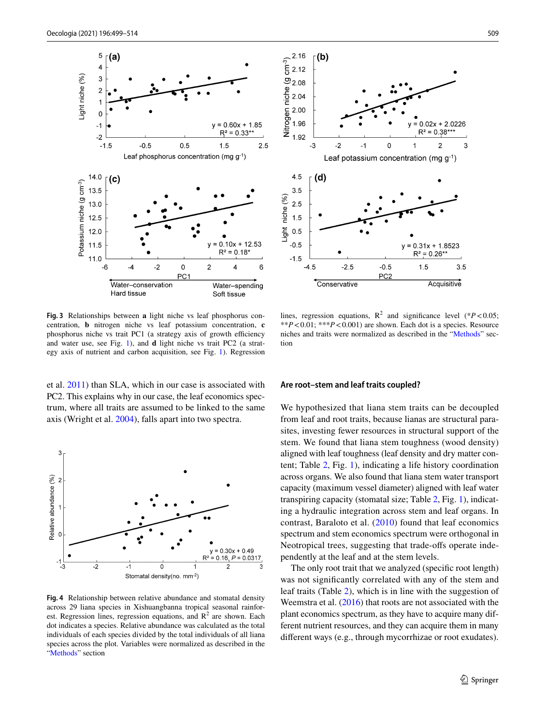

<span id="page-10-0"></span>**Fig. 3** Relationships between **a** light niche vs leaf phosphorus concentration, **b** nitrogen niche vs leaf potassium concentration, **c** phosphorus niche vs trait PC1 (a strategy axis of growth efficiency and water use, see Fig. [1\)](#page-8-0), and **d** light niche vs trait PC2 (a strategy axis of nutrient and carbon acquisition, see Fig. [1](#page-8-0)). Regression

et al. [2011\)](#page-14-34) than SLA, which in our case is associated with PC2. This explains why in our case, the leaf economics spectrum, where all traits are assumed to be linked to the same axis (Wright et al. [2004](#page-15-0)), falls apart into two spectra.



<span id="page-10-1"></span>**Fig. 4** Relationship between relative abundance and stomatal density across 29 liana species in Xishuangbanna tropical seasonal rainforest. Regression lines, regression equations, and  $R^2$  are shown. Each dot indicates a species. Relative abundance was calculated as the total individuals of each species divided by the total individuals of all liana species across the plot. Variables were normalized as described in the "[Methods"](#page-2-0) section



lines, regression equations,  $R^2$  and significance level (\* $P < 0.05$ ; \*\**P*<0.01; \*\*\**P*<0.001) are shown. Each dot is a species. Resource niches and traits were normalized as described in the "[Methods](#page-2-0)" sec-

#### **Are root–stem and leaf traits coupled?**

tion

We hypothesized that liana stem traits can be decoupled from leaf and root traits, because lianas are structural parasites, investing fewer resources in structural support of the stem. We found that liana stem toughness (wood density) aligned with leaf toughness (leaf density and dry matter content; Table [2,](#page-7-0) Fig. [1\)](#page-8-0), indicating a life history coordination across organs. We also found that liana stem water transport capacity (maximum vessel diameter) aligned with leaf water transpiring capacity (stomatal size; Table [2,](#page-7-0) Fig. [1\)](#page-8-0), indicating a hydraulic integration across stem and leaf organs. In contrast, Baraloto et al. ([2010](#page-13-26)) found that leaf economics spectrum and stem economics spectrum were orthogonal in Neotropical trees, suggesting that trade-ofs operate independently at the leaf and at the stem levels.

The only root trait that we analyzed (specific root length) was not signifcantly correlated with any of the stem and leaf traits (Table [2\)](#page-7-0), which is in line with the suggestion of Weemstra et al. [\(2016](#page-15-5)) that roots are not associated with the plant economics spectrum, as they have to acquire many different nutrient resources, and they can acquire them in many diferent ways (e.g., through mycorrhizae or root exudates).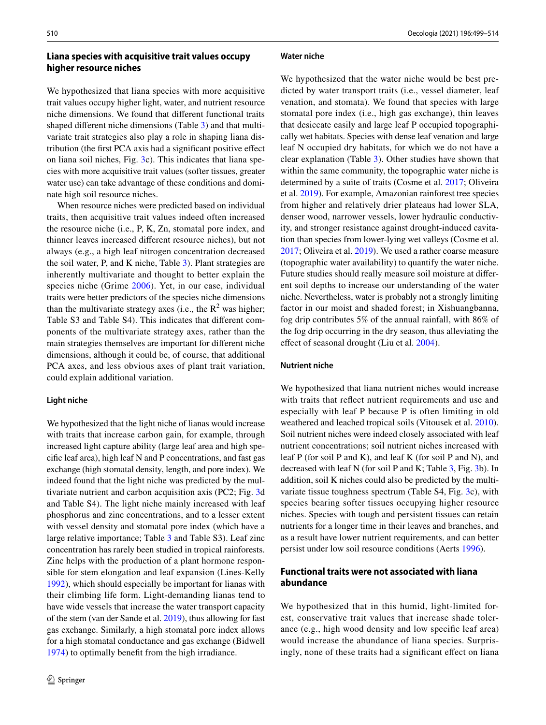# **Liana species with acquisitive trait values occupy higher resource niches**

We hypothesized that liana species with more acquisitive trait values occupy higher light, water, and nutrient resource niche dimensions. We found that diferent functional traits shaped diferent niche dimensions (Table [3](#page-8-1)) and that multivariate trait strategies also play a role in shaping liana distribution (the frst PCA axis had a signifcant positive efect on liana soil niches, Fig. [3c](#page-10-0)). This indicates that liana species with more acquisitive trait values (softer tissues, greater water use) can take advantage of these conditions and dominate high soil resource niches.

When resource niches were predicted based on individual traits, then acquisitive trait values indeed often increased the resource niche (i.e., P, K, Zn, stomatal pore index, and thinner leaves increased diferent resource niches), but not always (e.g., a high leaf nitrogen concentration decreased the soil water, P, and K niche, Table [3](#page-8-1)). Plant strategies are inherently multivariate and thought to better explain the species niche (Grime [2006\)](#page-13-4). Yet, in our case, individual traits were better predictors of the species niche dimensions than the multivariate strategy axes (i.e., the  $R^2$  was higher; Table S3 and Table S4). This indicates that diferent components of the multivariate strategy axes, rather than the main strategies themselves are important for diferent niche dimensions, although it could be, of course, that additional PCA axes, and less obvious axes of plant trait variation, could explain additional variation.

### **Light niche**

We hypothesized that the light niche of lianas would increase with traits that increase carbon gain, for example, through increased light capture ability (large leaf area and high specifc leaf area), high leaf N and P concentrations, and fast gas exchange (high stomatal density, length, and pore index). We indeed found that the light niche was predicted by the multivariate nutrient and carbon acquisition axis (PC2; Fig. [3](#page-10-0)d and Table S4). The light niche mainly increased with leaf phosphorus and zinc concentrations, and to a lesser extent with vessel density and stomatal pore index (which have a large relative importance; Table [3](#page-8-1) and Table S3). Leaf zinc concentration has rarely been studied in tropical rainforests. Zinc helps with the production of a plant hormone responsible for stem elongation and leaf expansion (Lines-Kelly [1992](#page-14-35)), which should especially be important for lianas with their climbing life form. Light-demanding lianas tend to have wide vessels that increase the water transport capacity of the stem (van der Sande et al. [2019](#page-15-4)), thus allowing for fast gas exchange. Similarly, a high stomatal pore index allows for a high stomatal conductance and gas exchange (Bidwell [1974](#page-13-27)) to optimally beneft from the high irradiance.

#### **Water niche**

We hypothesized that the water niche would be best predicted by water transport traits (i.e., vessel diameter, leaf venation, and stomata). We found that species with large stomatal pore index (i.e., high gas exchange), thin leaves that desiccate easily and large leaf P occupied topographically wet habitats. Species with dense leaf venation and large leaf N occupied dry habitats, for which we do not have a clear explanation (Table [3\)](#page-8-1). Other studies have shown that within the same community, the topographic water niche is determined by a suite of traits (Cosme et al. [2017](#page-13-28); Oliveira et al. [2019](#page-14-36)). For example, Amazonian rainforest tree species from higher and relatively drier plateaus had lower SLA, denser wood, narrower vessels, lower hydraulic conductivity, and stronger resistance against drought-induced cavitation than species from lower-lying wet valleys (Cosme et al. [2017](#page-13-28); Oliveira et al. [2019](#page-14-36)). We used a rather coarse measure (topographic water availability) to quantify the water niche. Future studies should really measure soil moisture at diferent soil depths to increase our understanding of the water niche. Nevertheless, water is probably not a strongly limiting factor in our moist and shaded forest; in Xishuangbanna, fog drip contributes 5% of the annual rainfall, with 86% of the fog drip occurring in the dry season, thus alleviating the effect of seasonal drought (Liu et al. [2004](#page-14-37)).

### **Nutrient niche**

We hypothesized that liana nutrient niches would increase with traits that refect nutrient requirements and use and especially with leaf P because P is often limiting in old weathered and leached tropical soils (Vitousek et al. [2010](#page-15-17)). Soil nutrient niches were indeed closely associated with leaf nutrient concentrations; soil nutrient niches increased with leaf P (for soil P and K), and leaf K (for soil P and N), and decreased with leaf N (for soil P and K; Table [3,](#page-8-1) Fig. [3b](#page-10-0)). In addition, soil K niches could also be predicted by the multivariate tissue toughness spectrum (Table S4, Fig. [3](#page-10-0)c), with species bearing softer tissues occupying higher resource niches. Species with tough and persistent tissues can retain nutrients for a longer time in their leaves and branches, and as a result have lower nutrient requirements, and can better persist under low soil resource conditions (Aerts [1996](#page-13-29)).

# **Functional traits were not associated with liana abundance**

We hypothesized that in this humid, light-limited forest, conservative trait values that increase shade tolerance (e.g., high wood density and low specifc leaf area) would increase the abundance of liana species. Surprisingly, none of these traits had a significant effect on liana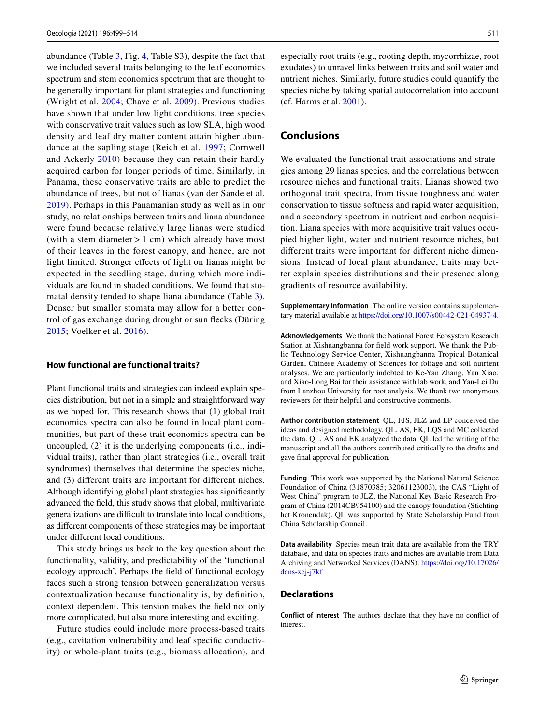abundance (Table [3](#page-8-1), Fig. [4,](#page-10-1) Table S3), despite the fact that we included several traits belonging to the leaf economics spectrum and stem economics spectrum that are thought to be generally important for plant strategies and functioning (Wright et al. [2004;](#page-15-0) Chave et al. [2009](#page-13-16)). Previous studies have shown that under low light conditions, tree species with conservative trait values such as low SLA, high wood density and leaf dry matter content attain higher abundance at the sapling stage (Reich et al. [1997;](#page-14-38) Cornwell and Ackerly [2010\)](#page-13-30) because they can retain their hardly acquired carbon for longer periods of time. Similarly, in Panama, these conservative traits are able to predict the abundance of trees, but not of lianas (van der Sande et al. [2019\)](#page-15-4). Perhaps in this Panamanian study as well as in our study, no relationships between traits and liana abundance were found because relatively large lianas were studied (with a stem diameter  $> 1$  cm) which already have most of their leaves in the forest canopy, and hence, are not light limited. Stronger efects of light on lianas might be expected in the seedling stage, during which more individuals are found in shaded conditions. We found that stomatal density tended to shape liana abundance (Table [3](#page-8-1)). Denser but smaller stomata may allow for a better control of gas exchange during drought or sun fecks (Düring [2015;](#page-13-31) Voelker et al. [2016](#page-15-18)).

### **How functional are functional traits?**

Plant functional traits and strategies can indeed explain species distribution, but not in a simple and straightforward way as we hoped for. This research shows that (1) global trait economics spectra can also be found in local plant communities, but part of these trait economics spectra can be uncoupled, (2) it is the underlying components (i.e., individual traits), rather than plant strategies (i.e., overall trait syndromes) themselves that determine the species niche, and (3) diferent traits are important for diferent niches. Although identifying global plant strategies has signifcantly advanced the feld, this study shows that global, multivariate generalizations are difficult to translate into local conditions, as diferent components of these strategies may be important under diferent local conditions.

This study brings us back to the key question about the functionality, validity, and predictability of the 'functional ecology approach'. Perhaps the feld of functional ecology faces such a strong tension between generalization versus contextualization because functionality is, by defnition, context dependent. This tension makes the feld not only more complicated, but also more interesting and exciting.

Future studies could include more process-based traits (e.g., cavitation vulnerability and leaf specifc conductivity) or whole-plant traits (e.g., biomass allocation), and especially root traits (e.g., rooting depth, mycorrhizae, root exudates) to unravel links between traits and soil water and nutrient niches. Similarly, future studies could quantify the species niche by taking spatial autocorrelation into account (cf. Harms et al. [2001](#page-14-22)).

# **Conclusions**

We evaluated the functional trait associations and strategies among 29 lianas species, and the correlations between resource niches and functional traits. Lianas showed two orthogonal trait spectra, from tissue toughness and water conservation to tissue softness and rapid water acquisition, and a secondary spectrum in nutrient and carbon acquisition. Liana species with more acquisitive trait values occupied higher light, water and nutrient resource niches, but diferent traits were important for diferent niche dimensions. Instead of local plant abundance, traits may better explain species distributions and their presence along gradients of resource availability.

**Supplementary Information** The online version contains supplementary material available at<https://doi.org/10.1007/s00442-021-04937-4>.

**Acknowledgements** We thank the National Forest Ecosystem Research Station at Xishuangbanna for feld work support. We thank the Public Technology Service Center, Xishuangbanna Tropical Botanical Garden, Chinese Academy of Sciences for foliage and soil nutrient analyses. We are particularly indebted to Ke-Yan Zhang, Yan Xiao, and Xiao-Long Bai for their assistance with lab work, and Yan-Lei Du from Lanzhou University for root analysis. We thank two anonymous reviewers for their helpful and constructive comments.

**Author contribution statement** QL, FJS, JLZ and LP conceived the ideas and designed methodology. QL, AS, EK, LQS and MC collected the data. QL, AS and EK analyzed the data. QL led the writing of the manuscript and all the authors contributed critically to the drafts and gave fnal approval for publication.

**Funding** This work was supported by the National Natural Science Foundation of China (31870385; 32061123003), the CAS "Light of West China" program to JLZ, the National Key Basic Research Program of China (2014CB954100) and the canopy foundation (Stichting het Kronendak). QL was supported by State Scholarship Fund from China Scholarship Council.

**Data availability** Species mean trait data are available from the TRY database, and data on species traits and niches are available from Data Archiving and Networked Services (DANS): [https://doi.org/10.17026/](https://doi.org/10.17026/dans-xej-j7kf) [dans-xej-j7kf](https://doi.org/10.17026/dans-xej-j7kf)

### **Declarations**

**Conflict of interest** The authors declare that they have no confict of interest.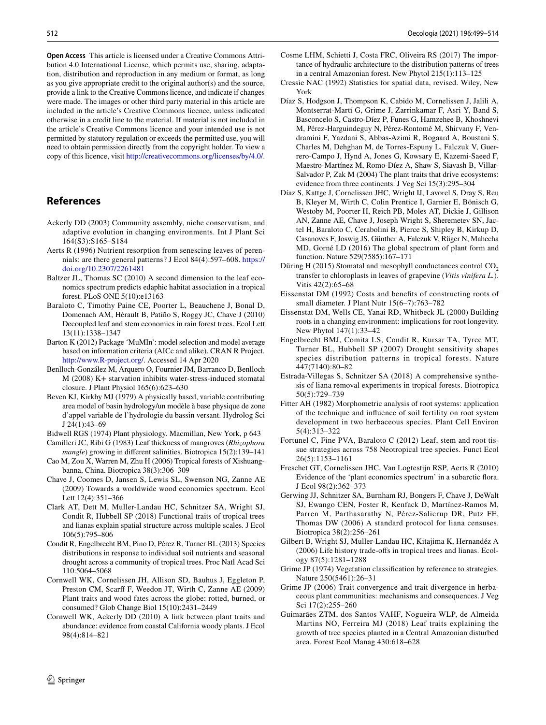**Open Access** This article is licensed under a Creative Commons Attribution 4.0 International License, which permits use, sharing, adaptation, distribution and reproduction in any medium or format, as long as you give appropriate credit to the original author(s) and the source, provide a link to the Creative Commons licence, and indicate if changes were made. The images or other third party material in this article are included in the article's Creative Commons licence, unless indicated otherwise in a credit line to the material. If material is not included in the article's Creative Commons licence and your intended use is not permitted by statutory regulation or exceeds the permitted use, you will need to obtain permission directly from the copyright holder. To view a copy of this licence, visit <http://creativecommons.org/licenses/by/4.0/>.

# **References**

- <span id="page-13-0"></span>Ackerly DD (2003) Community assembly, niche conservatism, and adaptive evolution in changing environments. Int J Plant Sci 164(S3):S165–S184
- <span id="page-13-29"></span>Aerts R (1996) Nutrient resorption from senescing leaves of perennials: are there general patterns? J Ecol 84(4):597–608. [https://](https://doi.org/10.2307/2261481) [doi.org/10.2307/2261481](https://doi.org/10.2307/2261481)
- <span id="page-13-11"></span>Baltzer JL, Thomas SC (2010) A second dimension to the leaf economics spectrum predicts edaphic habitat association in a tropical forest. PLoS ONE 5(10):e13163
- <span id="page-13-26"></span>Baraloto C, Timothy Paine CE, Poorter L, Beauchene J, Bonal D, Domenach AM, Hérault B, Patiño S, Roggy JC, Chave J (2010) Decoupled leaf and stem economics in rain forest trees. Ecol Lett 13(11):1338–1347
- <span id="page-13-20"></span>Barton K (2012) Package 'MuMIn': model selection and model average based on information criteria (AICc and alike). CRAN R Project. [http://www.R-project.org/.](http://www.R-project.org/) Accessed 14 Apr 2020
- <span id="page-13-23"></span>Benlloch-González M, Arquero O, Fournier JM, Barranco D, Benlloch M (2008) K+ starvation inhibits water-stress-induced stomatal closure. J Plant Physiol 165(6):623–630
- <span id="page-13-19"></span>Beven KJ, Kirkby MJ (1979) A physically based, variable contributing area model of basin hydrology/un modèle à base physique de zone d'appel variable de l'hydrologie du bassin versant. Hydrolog Sci J 24(1):43–69

<span id="page-13-27"></span>Bidwell RGS (1974) Plant physiology. Macmillan, New York, p 643

- <span id="page-13-22"></span>Camilleri JC, Ribi G (1983) Leaf thickness of mangroves (*Rhizophora mangle*) growing in diferent salinities. Biotropica 15(2):139–141
- <span id="page-13-13"></span>Cao M, Zou X, Warren M, Zhu H (2006) Tropical forests of Xishuangbanna, China. Biotropica 38(3):306–309
- <span id="page-13-16"></span>Chave J, Coomes D, Jansen S, Lewis SL, Swenson NG, Zanne AE (2009) Towards a worldwide wood economics spectrum. Ecol Lett 12(4):351–366
- <span id="page-13-15"></span>Clark AT, Dett M, Muller-Landau HC, Schnitzer SA, Wright SJ, Condit R, Hubbell SP (2018) Functional traits of tropical trees and lianas explain spatial structure across multiple scales. J Ecol 106(5):795–806
- <span id="page-13-10"></span>Condit R, Engelbrecht BM, Pino D, Pérez R, Turner BL (2013) Species distributions in response to individual soil nutrients and seasonal drought across a community of tropical trees. Proc Natl Acad Sci 110:5064–5068
- <span id="page-13-7"></span>Cornwell WK, Cornelissen JH, Allison SD, Bauhus J, Eggleton P, Preston CM, Scarf F, Weedon JT, Wirth C, Zanne AE (2009) Plant traits and wood fates across the globe: rotted, burned, or consumed? Glob Change Biol 15(10):2431–2449
- <span id="page-13-30"></span>Cornwell WK, Ackerly DD (2010) A link between plant traits and abundance: evidence from coastal California woody plants. J Ecol 98(4):814–821
- <span id="page-13-28"></span>Cosme LHM, Schietti J, Costa FRC, Oliveira RS (2017) The importance of hydraulic architecture to the distribution patterns of trees in a central Amazonian forest. New Phytol 215(1):113–125
- <span id="page-13-18"></span>Cressie NAC (1992) Statistics for spatial data, revised. Wiley, New York
- <span id="page-13-5"></span>Díaz S, Hodgson J, Thompson K, Cabido M, Cornelissen J, Jalili A, Montserrat-Martí G, Grime J, Zarrinkamar F, Asri Y, Band S, Basconcelo S, Castro-Díez P, Funes G, Hamzehee B, Khoshnevi M, Pérez-Harguindeguy N, Pérez-Rontomé M, Shirvany F, Vendramini F, Yazdani S, Abbas-Azimi R, Bogaard A, Boustani S, Charles M, Dehghan M, de Torres-Espuny L, Falczuk V, Guerrero-Campo J, Hynd A, Jones G, Kowsary E, Kazemi-Saeed F, Maestro-Martínez M, Romo-Díez A, Shaw S, Siavash B, Villar-Salvador P, Zak M (2004) The plant traits that drive ecosystems: evidence from three continents. J Veg Sci 15(3):295–304
- <span id="page-13-6"></span>Díaz S, Kattge J, Cornelissen JHC, Wright IJ, Lavorel S, Dray S, Reu B, Kleyer M, Wirth C, Colin Prentice I, Garnier E, Bönisch G, Westoby M, Poorter H, Reich PB, Moles AT, Dickie J, Gillison AN, Zanne AE, Chave J, Joseph Wright S, Sheremetev SN, Jactel H, Baraloto C, Cerabolini B, Pierce S, Shipley B, Kirkup D, Casanoves F, Joswig JS, Günther A, Falczuk V, Rüger N, Mahecha MD, Gorné LD (2016) The global spectrum of plant form and function. Nature 529(7585):167–171
- <span id="page-13-31"></span>Düring H (2015) Stomatal and mesophyll conductances control  $CO<sub>2</sub>$ transfer to chloroplasts in leaves of grapevine (*Vitis vinifera L.*). Vitis 42(2):65–68
- <span id="page-13-24"></span>Eissenstat DM (1992) Costs and benefts of constructing roots of small diameter. J Plant Nutr 15(6–7):763–782
- <span id="page-13-25"></span>Eissenstat DM, Wells CE, Yanai RD, Whitbeck JL (2000) Building roots in a changing environment: implications for root longevity. New Phytol 147(1):33–42
- <span id="page-13-9"></span>Engelbrecht BMJ, Comita LS, Condit R, Kursar TA, Tyree MT, Turner BL, Hubbell SP (2007) Drought sensitivity shapes species distribution patterns in tropical forests. Nature 447(7140):80–82
- <span id="page-13-12"></span>Estrada-Villegas S, Schnitzer SA (2018) A comprehensive synthesis of liana removal experiments in tropical forests. Biotropica 50(5):729–739
- <span id="page-13-17"></span>Fitter AH (1982) Morphometric analysis of root systems: application of the technique and infuence of soil fertility on root system development in two herbaceous species. Plant Cell Environ 5(4):313–322
- <span id="page-13-2"></span>Fortunel C, Fine PVA, Baraloto C (2012) Leaf, stem and root tissue strategies across 758 Neotropical tree species. Funct Ecol 26(5):1153–1161
- <span id="page-13-8"></span>Freschet GT, Cornelissen JHC, Van Logtestijn RSP, Aerts R (2010) Evidence of the 'plant economics spectrum' in a subarctic fora. J Ecol 98(2):362–373
- <span id="page-13-14"></span>Gerwing JJ, Schnitzer SA, Burnham RJ, Bongers F, Chave J, DeWalt SJ, Ewango CEN, Foster R, Kenfack D, Martínez-Ramos M, Parren M, Parthasarathy N, Pérez-Salicrup DR, Putz FE, Thomas DW (2006) A standard protocol for liana censuses. Biotropica 38(2):256–261
- <span id="page-13-21"></span>Gilbert B, Wright SJ, Muller-Landau HC, Kitajima K, Hernandéz A (2006) Life history trade-ofs in tropical trees and lianas. Ecology 87(5):1281–1288
- <span id="page-13-1"></span>Grime JP (1974) Vegetation classifcation by reference to strategies. Nature 250(5461):26–31
- <span id="page-13-4"></span>Grime JP (2006) Trait convergence and trait divergence in herbaceous plant communities: mechanisms and consequences. J Veg Sci 17(2):255–260
- <span id="page-13-3"></span>Guimarães ZTM, dos Santos VAHF, Nogueira WLP, de Almeida Martins NO, Ferreira MJ (2018) Leaf traits explaining the growth of tree species planted in a Central Amazonian disturbed area. Forest Ecol Manag 430:618–628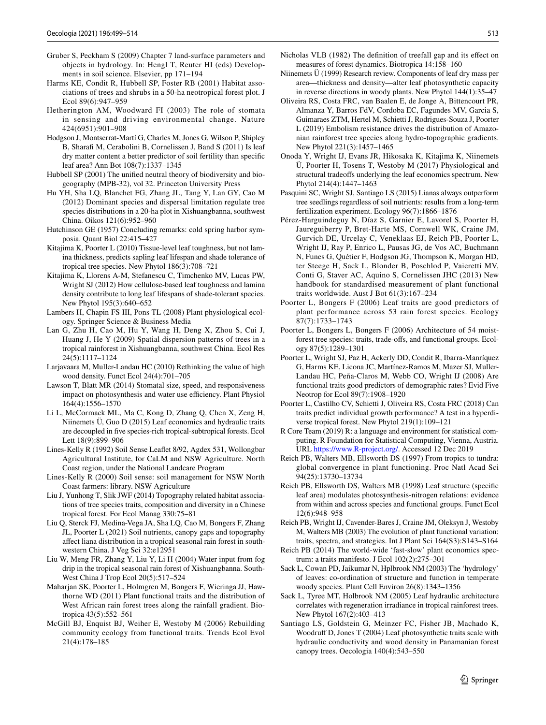- <span id="page-14-23"></span>Gruber S, Peckham S (2009) Chapter 7 land-surface parameters and objects in hydrology. In: Hengl T, Reuter HI (eds) Developments in soil science. Elsevier, pp 171–194
- <span id="page-14-22"></span>Harms KE, Condit R, Hubbell SP, Foster RB (2001) Habitat associations of trees and shrubs in a 50-ha neotropical forest plot. J Ecol 89(6):947–959
- <span id="page-14-17"></span>Hetherington AM, Woodward FI (2003) The role of stomata in sensing and driving environmental change. Nature 424(6951):901–908
- <span id="page-14-34"></span>Hodgson J, Montserrat-Martí G, Charles M, Jones G, Wilson P, Shipley B, Sharafi M, Cerabolini B, Cornelissen J, Band S (2011) Is leaf dry matter content a better predictor of soil fertility than specifc leaf area? Ann Bot 108(7):1337–1345
- <span id="page-14-9"></span>Hubbell SP (2001) The unifed neutral theory of biodiversity and biogeography (MPB-32), vol 32. Princeton University Press
- <span id="page-14-21"></span>Hu YH, Sha LQ, Blanchet FG, Zhang JL, Tang Y, Lan GY, Cao M (2012) Dominant species and dispersal limitation regulate tree species distributions in a 20-ha plot in Xishuangbanna, southwest China. Oikos 121(6):952–960
- <span id="page-14-8"></span>Hutchinson GE (1957) Concluding remarks: cold spring harbor symposia. Quant Biol 22:415–427
- <span id="page-14-27"></span>Kitajima K, Poorter L (2010) Tissue-level leaf toughness, but not lamina thickness, predicts sapling leaf lifespan and shade tolerance of tropical tree species. New Phytol 186(3):708–721
- <span id="page-14-33"></span>Kitajima K, Llorens A-M, Stefanescu C, Timchenko MV, Lucas PW, Wright SJ (2012) How cellulose-based leaf toughness and lamina density contribute to long leaf lifespans of shade-tolerant species. New Phytol 195(3):640–652
- <span id="page-14-28"></span>Lambers H, Chapin FS III, Pons TL (2008) Plant physiological ecology. Springer Science & Business Media
- <span id="page-14-13"></span>Lan G, Zhu H, Cao M, Hu Y, Wang H, Deng X, Zhou S, Cui J, Huang J, He Y (2009) Spatial dispersion patterns of trees in a tropical rainforest in Xishuangbanna, southwest China. Ecol Res 24(5):1117–1124
- <span id="page-14-20"></span>Larjavaara M, Muller-Landau HC (2010) Rethinking the value of high wood density. Funct Ecol 24(4):701–705
- <span id="page-14-29"></span>Lawson T, Blatt MR (2014) Stomatal size, speed, and responsiveness impact on photosynthesis and water use efficiency. Plant Physiol 164(4):1556–1570
- <span id="page-14-7"></span>Li L, McCormack ML, Ma C, Kong D, Zhang Q, Chen X, Zeng H, Niinemets Ü, Guo D (2015) Leaf economics and hydraulic traits are decoupled in fve species-rich tropical-subtropical forests. Ecol Lett 18(9):899–906
- <span id="page-14-35"></span>Lines-Kelly R (1992) Soil Sense Leafet 8/92, Agdex 531, Wollongbar Agricultural Institute, for CaLM and NSW Agriculture. North Coast region, under the National Landcare Program
- <span id="page-14-19"></span>Lines-Kelly R (2000) Soil sense: soil management for NSW North Coast farmers: library. NSW Agriculture
- <span id="page-14-25"></span>Liu J, Yunhong T, Slik JWF (2014) Topography related habitat associations of tree species traits, composition and diversity in a Chinese tropical forest. For Ecol Manag 330:75–81
- <span id="page-14-12"></span>Liu Q, Sterck FJ, Medina-Vega JA, Sha LQ, Cao M, Bongers F, Zhang JL, Poorter L (2021) Soil nutrients, canopy gaps and topography afect liana distribution in a tropical seasonal rain forest in southwestern China. J Veg Sci 32:e12951
- <span id="page-14-37"></span>Liu W, Meng FR, Zhang Y, Liu Y, Li H (2004) Water input from fog drip in the tropical seasonal rain forest of Xishuangbanna. South-West China J Trop Ecol 20(5):517–524
- <span id="page-14-16"></span>Maharjan SK, Poorter L, Holmgren M, Bongers F, Wieringa JJ, Hawthorne WD (2011) Plant functional traits and the distribution of West African rain forest trees along the rainfall gradient. Biotropica 43(5):552–561
- <span id="page-14-0"></span>McGill BJ, Enquist BJ, Weiher E, Westoby M (2006) Rebuilding community ecology from functional traits. Trends Ecol Evol 21(4):178–185
- <span id="page-14-24"></span>Nicholas VLB (1982) The defnition of treefall gap and its efect on measures of forest dynamics. Biotropica 14:158–160
- <span id="page-14-15"></span>Niinemets Ü (1999) Research review. Components of leaf dry mass per area—thickness and density—alter leaf photosynthetic capacity in reverse directions in woody plants. New Phytol 144(1):35–47
- <span id="page-14-36"></span>Oliveira RS, Costa FRC, van Baalen E, de Jonge A, Bittencourt PR, Almanza Y, Barros FdV, Cordoba EC, Fagundes MV, Garcia S, Guimaraes ZTM, Hertel M, Schietti J, Rodrigues-Souza J, Poorter L (2019) Embolism resistance drives the distribution of Amazonian rainforest tree species along hydro-topographic gradients. New Phytol 221(3):1457–1465
- <span id="page-14-32"></span>Onoda Y, Wright IJ, Evans JR, Hikosaka K, Kitajima K, Niinemets Ü, Poorter H, Tosens T, Westoby M (2017) Physiological and structural tradeofs underlying the leaf economics spectrum. New Phytol 214(4):1447–1463
- <span id="page-14-11"></span>Pasquini SC, Wright SJ, Santiago LS (2015) Lianas always outperform tree seedlings regardless of soil nutrients: results from a long-term fertilization experiment. Ecology 96(7):1866–1876
- <span id="page-14-14"></span>Pérez-Harguindeguy N, Díaz S, Garnier E, Lavorel S, Poorter H, Jaureguiberry P, Bret-Harte MS, Cornwell WK, Craine JM, Gurvich DE, Urcelay C, Veneklaas EJ, Reich PB, Poorter L, Wright IJ, Ray P, Enrico L, Pausas JG, de Vos AC, Buchmann N, Funes G, Quétier F, Hodgson JG, Thompson K, Morgan HD, ter Steege H, Sack L, Blonder B, Poschlod P, Vaieretti MV, Conti G, Staver AC, Aquino S, Cornelissen JHC (2013) New handbook for standardised measurement of plant functional traits worldwide. Aust J Bot 61(3):167–234
- <span id="page-14-2"></span>Poorter L, Bongers F (2006) Leaf traits are good predictors of plant performance across 53 rain forest species. Ecology 87(7):1733–1743
- <span id="page-14-4"></span>Poorter L, Bongers L, Bongers F (2006) Architecture of 54 moistforest tree species: traits, trade-ofs, and functional groups. Ecology 87(5):1289–1301
- <span id="page-14-6"></span>Poorter L, Wright SJ, Paz H, Ackerly DD, Condit R, Ibarra-Manríquez G, Harms KE, Licona JC, Martínez-Ramos M, Mazer SJ, Muller-Landau HC, Peña-Claros M, Webb CO, Wright IJ (2008) Are functional traits good predictors of demographic rates? Evid Five Neotrop for Ecol 89(7):1908–1920
- <span id="page-14-3"></span>Poorter L, Castilho CV, Schietti J, Oliveira RS, Costa FRC (2018) Can traits predict individual growth performance? A test in a hyperdiverse tropical forest. New Phytol 219(1):109–121
- <span id="page-14-26"></span>R Core Team (2019) R: a language and environment for statistical computing. R Foundation for Statistical Computing, Vienna, Austria. URL<https://www.R-project.org/>. Accessed 12 Dec 2019
- <span id="page-14-38"></span>Reich PB, Walters MB, Ellsworth DS (1997) From tropics to tundra: global convergence in plant functioning. Proc Natl Acad Sci 94(25):13730–13734
- <span id="page-14-31"></span>Reich PB, Ellsworth DS, Walters MB (1998) Leaf structure (specifc leaf area) modulates photosynthesis-nitrogen relations: evidence from within and across species and functional groups. Funct Ecol 12(6):948–958
- <span id="page-14-1"></span>Reich PB, Wright IJ, Cavender-Bares J, Craine JM, Oleksyn J, Westoby M, Walters MB (2003) The evolution of plant functional variation: traits, spectra, and strategies. Int J Plant Sci 164(S3):S143–S164
- <span id="page-14-10"></span>Reich PB (2014) The world-wide 'fast-slow' plant economics spectrum: a traits manifesto. J Ecol 102(2):275–301
- <span id="page-14-18"></span>Sack L, Cowan PD, Jaikumar N, Hplbrook NM (2003) The 'hydrology' of leaves: co-ordination of structure and function in temperate woody species. Plant Cell Environ 26(8):1343–1356
- <span id="page-14-30"></span>Sack L, Tyree MT, Holbrook NM (2005) Leaf hydraulic architecture correlates with regeneration irradiance in tropical rainforest trees. New Phytol 167(2):403–413
- <span id="page-14-5"></span>Santiago LS, Goldstein G, Meinzer FC, Fisher JB, Machado K, Woodruf D, Jones T (2004) Leaf photosynthetic traits scale with hydraulic conductivity and wood density in Panamanian forest canopy trees. Oecologia 140(4):543–550